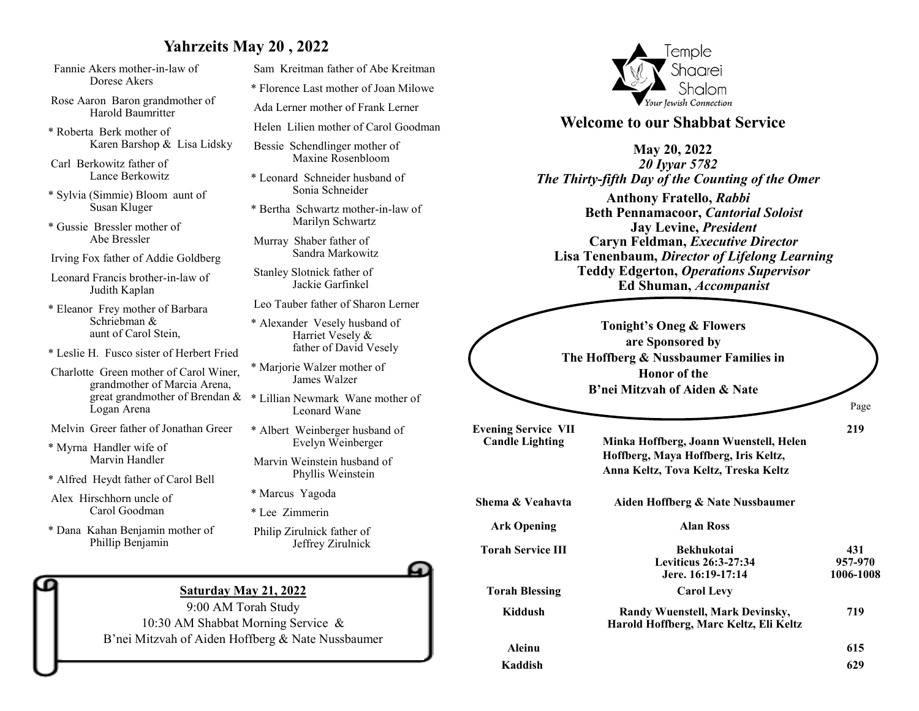## **Yahrzeits May 20 , 2022**

- Fannie Akers mother-in-law of Dorese Akers
- Rose Aaron Baron grandmother of Harold Baumritter
- \* Roberta Berk mother of Karen Barshop & Lisa Lidsky
- Carl Berkowitz father of Lance Berkowitz
- \* Sylvia (Simmie) Bloom aunt of Susan Kluger
- \* Gussie Bressler mother of Abe Bressler
- Irving Fox father of Addie Goldberg
- Leonard Francis brother-in-law of Judith Kaplan
- \* Eleanor Frey mother of Barbara Schriebman & aunt of Carol Stein,
- \* Leslie H. Fusco sister of Herbert Fried
- Charlotte Green mother of Carol Winer, grandmother of Marcia Arena, great grandmother of Brendan & Logan Arena
- Melvin Greer father of Jonathan Greer
- \* Myrna Handler wife of Marvin Handler
- \* Alfred Heydt father of Carol Bell
- Alex Hirschhorn uncle of Carol Goodman
- \* Dana Kahan Benjamin mother of Phillip Benjamin
- Sam Kreitman father of Abe Kreitman \* Florence Last mother of Joan Milowe Ada Lerner mother of Frank Lerner Helen Lilien mother of Carol Goodman
- Bessie Schendlinger mother of Maxine Rosenbloom
- \* Leonard Schneider husband of Sonia Schneider
- \* Bertha Schwartz mother-in-law of Marilyn Schwartz
- Murray Shaber father of Sandra Markowitz
- Stanley Slotnick father of Jackie Garfinkel
- Leo Tauber father of Sharon Lerner
- \* Alexander Vesely husband of Harriet Vesely & father of David Vesely
- \* Marjorie Walzer mother of James Walzer
- \* Lillian Newmark Wane mother of Leonard Wane
- \* Albert Weinberger husband of Evelyn Weinberger
- Marvin Weinstein husband of Phyllis Weinstein
- \* Marcus Yagoda
- \* Lee Zimmerin
- Philip Zirulnick father of Jeffrey Zirulnick



#### **Saturday May 21, 2022**

9:00 AM Torah Study 10:30 AM Shabbat Morning Service & B'nei Mitzvah of Aiden Hoffberg & Nate Nussbaumer



### **Welcome to our Shabbat Service**

#### **May 20, 2022**

*20 Iyyar 5782 The Thirty-fifth Day of the Counting of the Omer*

**Anthony Fratello,** *Rabbi* **Beth Pennamacoor,** *Cantorial Soloist* **Jay Levine,** *President* **Caryn Feldman,** *Executive Director* **Lisa Tenenbaum,** *Director of Lifelong Learning* **Teddy Edgerton,** *Operations Supervisor* **Ed Shuman,** *Accompanist*